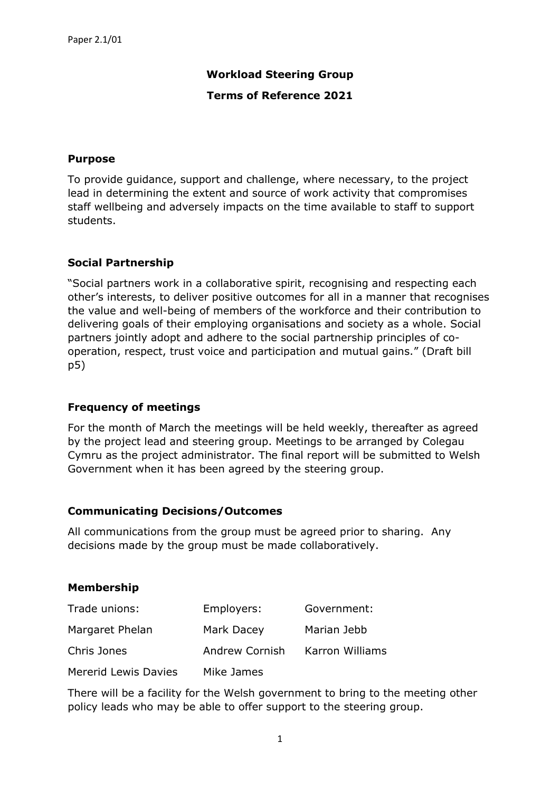# **Workload Steering Group**

#### **Terms of Reference 2021**

## **Purpose**

To provide guidance, support and challenge, where necessary, to the project lead in determining the extent and source of work activity that compromises staff wellbeing and adversely impacts on the time available to staff to support students.

## **Social Partnership**

"Social partners work in a collaborative spirit, recognising and respecting each other's interests, to deliver positive outcomes for all in a manner that recognises the value and well-being of members of the workforce and their contribution to delivering goals of their employing organisations and society as a whole. Social partners jointly adopt and adhere to the social partnership principles of cooperation, respect, trust voice and participation and mutual gains." (Draft bill p5)

#### **Frequency of meetings**

For the month of March the meetings will be held weekly, thereafter as agreed by the project lead and steering group. Meetings to be arranged by Colegau Cymru as the project administrator. The final report will be submitted to Welsh Government when it has been agreed by the steering group.

#### **Communicating Decisions/Outcomes**

All communications from the group must be agreed prior to sharing. Any decisions made by the group must be made collaboratively.

#### **Membership**

| Trade unions:               | Employers:     | Government:     |
|-----------------------------|----------------|-----------------|
| Margaret Phelan             | Mark Dacey     | Marian Jebb     |
| Chris Jones                 | Andrew Cornish | Karron Williams |
| <b>Mererid Lewis Davies</b> | Mike James     |                 |

There will be a facility for the Welsh government to bring to the meeting other policy leads who may be able to offer support to the steering group.